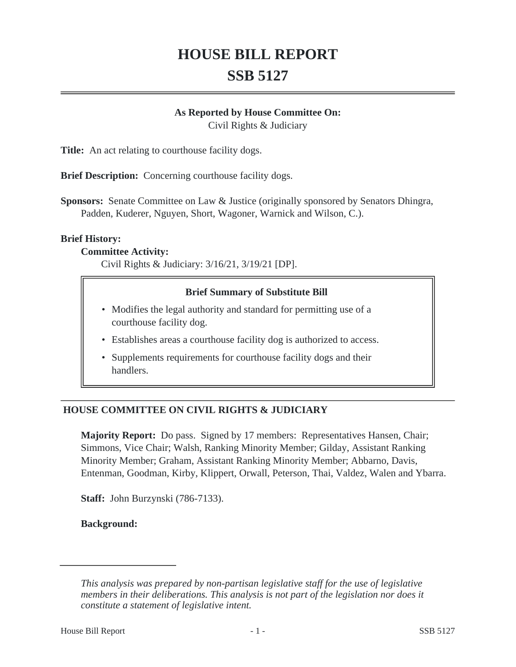# **HOUSE BILL REPORT SSB 5127**

## **As Reported by House Committee On:**

Civil Rights & Judiciary

**Title:** An act relating to courthouse facility dogs.

**Brief Description:** Concerning courthouse facility dogs.

**Sponsors:** Senate Committee on Law & Justice (originally sponsored by Senators Dhingra, Padden, Kuderer, Nguyen, Short, Wagoner, Warnick and Wilson, C.).

#### **Brief History:**

#### **Committee Activity:**

Civil Rights & Judiciary: 3/16/21, 3/19/21 [DP].

## **Brief Summary of Substitute Bill**

- Modifies the legal authority and standard for permitting use of a courthouse facility dog.
- Establishes areas a courthouse facility dog is authorized to access.
- Supplements requirements for courthouse facility dogs and their handlers.

## **HOUSE COMMITTEE ON CIVIL RIGHTS & JUDICIARY**

**Majority Report:** Do pass. Signed by 17 members: Representatives Hansen, Chair; Simmons, Vice Chair; Walsh, Ranking Minority Member; Gilday, Assistant Ranking Minority Member; Graham, Assistant Ranking Minority Member; Abbarno, Davis, Entenman, Goodman, Kirby, Klippert, Orwall, Peterson, Thai, Valdez, Walen and Ybarra.

**Staff:** John Burzynski (786-7133).

**Background:**

*This analysis was prepared by non-partisan legislative staff for the use of legislative members in their deliberations. This analysis is not part of the legislation nor does it constitute a statement of legislative intent.*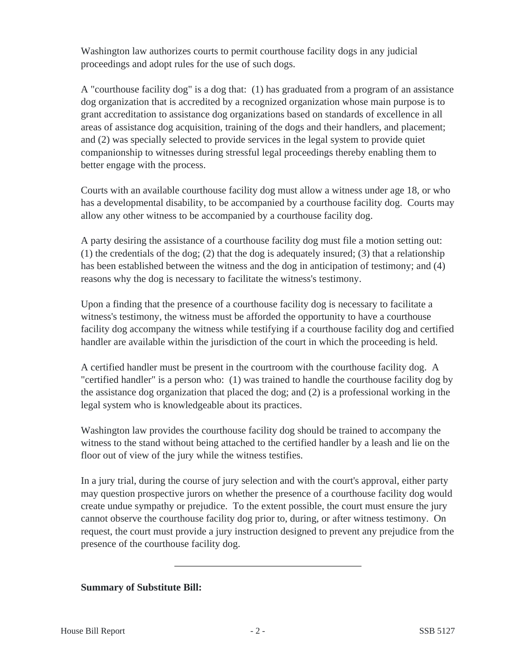Washington law authorizes courts to permit courthouse facility dogs in any judicial proceedings and adopt rules for the use of such dogs.

A "courthouse facility dog" is a dog that: (1) has graduated from a program of an assistance dog organization that is accredited by a recognized organization whose main purpose is to grant accreditation to assistance dog organizations based on standards of excellence in all areas of assistance dog acquisition, training of the dogs and their handlers, and placement; and (2) was specially selected to provide services in the legal system to provide quiet companionship to witnesses during stressful legal proceedings thereby enabling them to better engage with the process.

Courts with an available courthouse facility dog must allow a witness under age 18, or who has a developmental disability, to be accompanied by a courthouse facility dog. Courts may allow any other witness to be accompanied by a courthouse facility dog.

A party desiring the assistance of a courthouse facility dog must file a motion setting out:  $(1)$  the credentials of the dog;  $(2)$  that the dog is adequately insured;  $(3)$  that a relationship has been established between the witness and the dog in anticipation of testimony; and (4) reasons why the dog is necessary to facilitate the witness's testimony.

Upon a finding that the presence of a courthouse facility dog is necessary to facilitate a witness's testimony, the witness must be afforded the opportunity to have a courthouse facility dog accompany the witness while testifying if a courthouse facility dog and certified handler are available within the jurisdiction of the court in which the proceeding is held.

A certified handler must be present in the courtroom with the courthouse facility dog. A "certified handler" is a person who: (1) was trained to handle the courthouse facility dog by the assistance dog organization that placed the dog; and (2) is a professional working in the legal system who is knowledgeable about its practices.

Washington law provides the courthouse facility dog should be trained to accompany the witness to the stand without being attached to the certified handler by a leash and lie on the floor out of view of the jury while the witness testifies.

In a jury trial, during the course of jury selection and with the court's approval, either party may question prospective jurors on whether the presence of a courthouse facility dog would create undue sympathy or prejudice. To the extent possible, the court must ensure the jury cannot observe the courthouse facility dog prior to, during, or after witness testimony. On request, the court must provide a jury instruction designed to prevent any prejudice from the presence of the courthouse facility dog.

# **Summary of Substitute Bill:**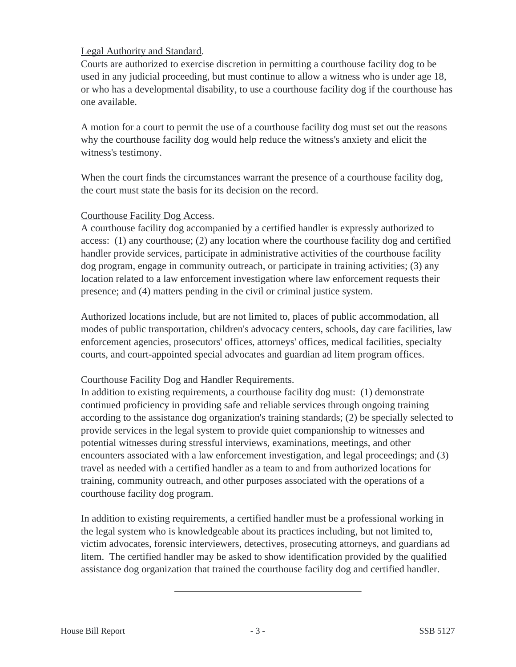# Legal Authority and Standard.

Courts are authorized to exercise discretion in permitting a courthouse facility dog to be used in any judicial proceeding, but must continue to allow a witness who is under age 18, or who has a developmental disability, to use a courthouse facility dog if the courthouse has one available.

A motion for a court to permit the use of a courthouse facility dog must set out the reasons why the courthouse facility dog would help reduce the witness's anxiety and elicit the witness's testimony.

When the court finds the circumstances warrant the presence of a courthouse facility dog, the court must state the basis for its decision on the record.

## Courthouse Facility Dog Access.

A courthouse facility dog accompanied by a certified handler is expressly authorized to access: (1) any courthouse; (2) any location where the courthouse facility dog and certified handler provide services, participate in administrative activities of the courthouse facility dog program, engage in community outreach, or participate in training activities; (3) any location related to a law enforcement investigation where law enforcement requests their presence; and (4) matters pending in the civil or criminal justice system.

Authorized locations include, but are not limited to, places of public accommodation, all modes of public transportation, children's advocacy centers, schools, day care facilities, law enforcement agencies, prosecutors' offices, attorneys' offices, medical facilities, specialty courts, and court-appointed special advocates and guardian ad litem program offices.

## Courthouse Facility Dog and Handler Requirements.

In addition to existing requirements, a courthouse facility dog must: (1) demonstrate continued proficiency in providing safe and reliable services through ongoing training according to the assistance dog organization's training standards; (2) be specially selected to provide services in the legal system to provide quiet companionship to witnesses and potential witnesses during stressful interviews, examinations, meetings, and other encounters associated with a law enforcement investigation, and legal proceedings; and (3) travel as needed with a certified handler as a team to and from authorized locations for training, community outreach, and other purposes associated with the operations of a courthouse facility dog program.

In addition to existing requirements, a certified handler must be a professional working in the legal system who is knowledgeable about its practices including, but not limited to, victim advocates, forensic interviewers, detectives, prosecuting attorneys, and guardians ad litem. The certified handler may be asked to show identification provided by the qualified assistance dog organization that trained the courthouse facility dog and certified handler.